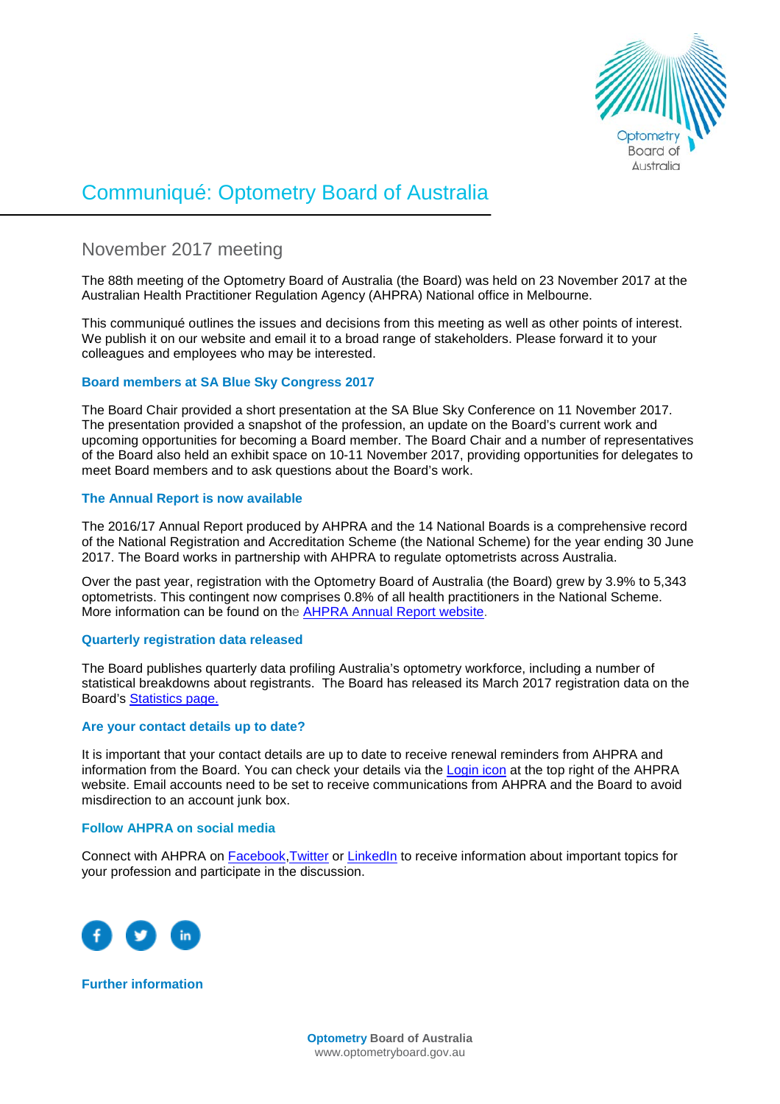

# Communiqué: Optometry Board of Australia

# November 2017 meeting

The 88th meeting of the Optometry Board of Australia (the Board) was held on 23 November 2017 at the Australian Health Practitioner Regulation Agency (AHPRA) National office in Melbourne.

This communiqué outlines the issues and decisions from this meeting as well as other points of interest. We publish it on our website and email it to a broad range of stakeholders. Please forward it to your colleagues and employees who may be interested.

# **Board members at SA Blue Sky Congress 2017**

The Board Chair provided a short presentation at the SA Blue Sky Conference on 11 November 2017. The presentation provided a snapshot of the profession, an update on the Board's current work and upcoming opportunities for becoming a Board member. The Board Chair and a number of representatives of the Board also held an exhibit space on 10-11 November 2017, providing opportunities for delegates to meet Board members and to ask questions about the Board's work.

## **The Annual Report is now available**

The 2016/17 Annual Report produced by AHPRA and the 14 National Boards is a comprehensive record of the National Registration and Accreditation Scheme (the National Scheme) for the year ending 30 June 2017. The Board works in partnership with AHPRA to regulate optometrists across Australia.

Over the past year, registration with the Optometry Board of Australia (the Board) grew by 3.9% to 5,343 optometrists. This contingent now comprises 0.8% of all health practitioners in the National Scheme. More information can be found on the [AHPRA Annual Report website.](http://www.ahpra.gov.au/annualreport/2017/)

#### **Quarterly registration data released**

The Board publishes quarterly data profiling Australia's optometry workforce, including a number of statistical breakdowns about registrants. The Board has released its March 2017 registration data on the Board's [Statistics page.](http://www.optometryboard.gov.au/About/Statistics.aspx)

#### **Are your contact details up to date?**

It is important that your contact details are up to date to receive renewal reminders from AHPRA and information from the Board. You can check your details via the [Login icon](https://www.ahpra.gov.au/) at the top right of the AHPRA website. Email accounts need to be set to receive communications from AHPRA and the Board to avoid misdirection to an account junk box.

#### **Follow AHPRA on social media**

Connect with AHPRA on [Facebook,](https://www.facebook.com/ahpra.gov.au/) [Twitter](https://twitter.com/AHPRA) or [LinkedIn](https://www.linkedin.com/company/australian-health-practitioner-regulation-agency) to receive information about important topics for your profession and participate in the discussion.



**Further information**